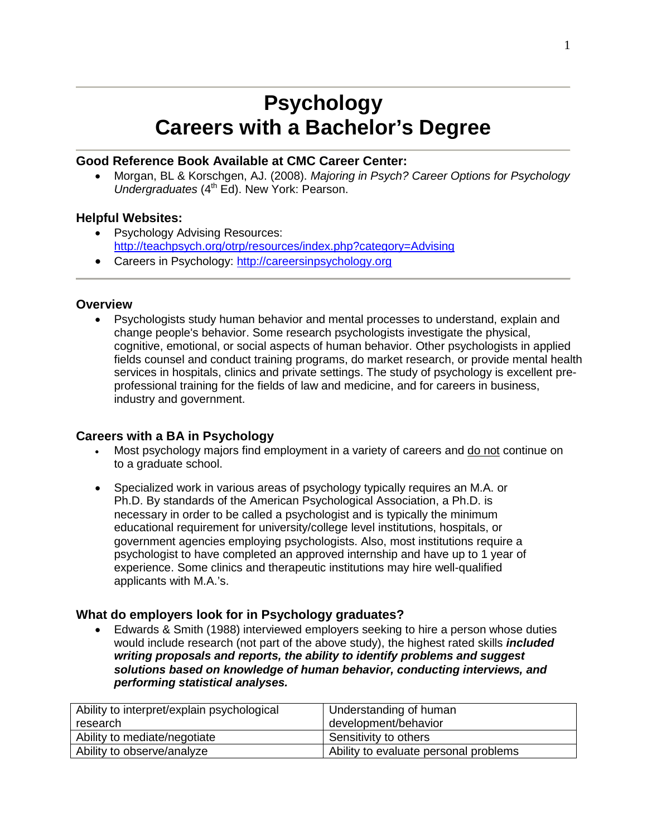# **Psychology Careers with a Bachelor's Degree**

#### **Good Reference Book Available at CMC Career Center:**

• Morgan, BL & Korschgen, AJ. (2008). *Majoring in Psych? Career Options for Psychology Undergraduates* (4<sup>th</sup> Ed). New York: Pearson.

#### **Helpful Websites:**

- Psychology Advising Resources: <http://teachpsych.org/otrp/resources/index.php?category=Advising>
- Careers in Psychology: [http://careersinpsychology.org](http://careersinpsychology.org/)

#### **Overview**

• Psychologists study human behavior and mental processes to understand, explain and change people's behavior. Some research psychologists investigate the physical, cognitive, emotional, or social aspects of human behavior. Other psychologists in applied fields counsel and conduct training programs, do market research, or provide mental health services in hospitals, clinics and private settings. The study of psychology is excellent preprofessional training for the fields of law and medicine, and for careers in business, industry and government.

#### **Careers with a BA in Psychology**

- Most psychology majors find employment in a variety of careers and do not continue on to a graduate school.
- Specialized work in various areas of psychology typically requires an M.A. or Ph.D. By standards of the American Psychological Association, a Ph.D. is necessary in order to be called a psychologist and is typically the minimum educational requirement for university/college level institutions, hospitals, or government agencies employing psychologists. Also, most institutions require a psychologist to have completed an approved internship and have up to 1 year of experience. Some clinics and therapeutic institutions may hire well-qualified applicants with M.A.'s.

#### **What do employers look for in Psychology graduates?**

• Edwards & Smith (1988) interviewed employers seeking to hire a person whose duties would include research (not part of the above study), the highest rated skills *included writing proposals and reports, the ability to identify problems and suggest solutions based on knowledge of human behavior, conducting interviews, and performing statistical analyses.*

| Ability to interpret/explain psychological | Understanding of human                |
|--------------------------------------------|---------------------------------------|
| research                                   | development/behavior                  |
| Ability to mediate/negotiate               | Sensitivity to others                 |
| Ability to observe/analyze                 | Ability to evaluate personal problems |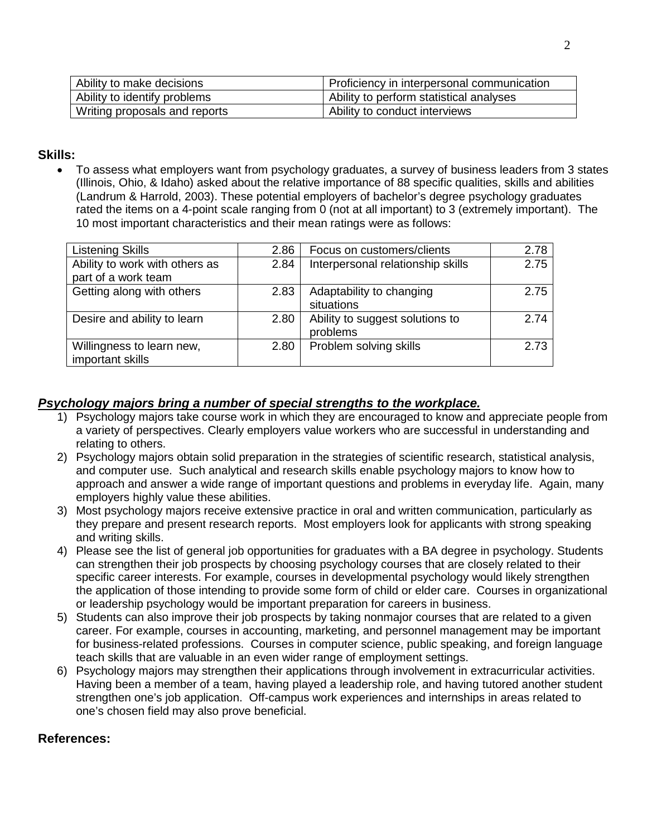| Ability to make decisions     | Proficiency in interpersonal communication |
|-------------------------------|--------------------------------------------|
| Ability to identify problems  | Ability to perform statistical analyses    |
| Writing proposals and reports | Ability to conduct interviews              |

### **Skills:**

• To assess what employers want from psychology graduates, a survey of business leaders from 3 states (Illinois, Ohio, & Idaho) asked about the relative importance of 88 specific qualities, skills and abilities (Landrum & Harrold, 2003). These potential employers of bachelor's degree psychology graduates rated the items on a 4-point scale ranging from 0 (not at all important) to 3 (extremely important). The 10 most important characteristics and their mean ratings were as follows:

| Listening Skills                                      | 2.86 | Focus on customers/clients                  | 2.78 |
|-------------------------------------------------------|------|---------------------------------------------|------|
| Ability to work with others as<br>part of a work team | 2.84 | Interpersonal relationship skills           | 2.75 |
| Getting along with others                             | 2.83 | Adaptability to changing<br>situations      | 2.75 |
| Desire and ability to learn                           | 2.80 | Ability to suggest solutions to<br>problems | 2.74 |
| Willingness to learn new,<br>important skills         | 2.80 | Problem solving skills                      | 2.73 |

## *Psychology majors bring a number of special strengths to the workplace.*

- 1) Psychology majors take course work in which they are encouraged to know and appreciate people from a variety of perspectives. Clearly employers value workers who are successful in understanding and relating to others.
- 2) Psychology majors obtain solid preparation in the strategies of scientific research, statistical analysis, and computer use. Such analytical and research skills enable psychology majors to know how to approach and answer a wide range of important questions and problems in everyday life. Again, many employers highly value these abilities.
- 3) Most psychology majors receive extensive practice in oral and written communication, particularly as they prepare and present research reports. Most employers look for applicants with strong speaking and writing skills.
- 4) Please see the list of general job opportunities for graduates with a BA degree in psychology. Students can strengthen their job prospects by choosing psychology courses that are closely related to their specific career interests. For example, courses in developmental psychology would likely strengthen the application of those intending to provide some form of child or elder care. Courses in organizational or leadership psychology would be important preparation for careers in business.
- 5) Students can also improve their job prospects by taking nonmajor courses that are related to a given career. For example, courses in accounting, marketing, and personnel management may be important for business-related professions. Courses in computer science, public speaking, and foreign language teach skills that are valuable in an even wider range of employment settings.
- 6) Psychology majors may strengthen their applications through involvement in extracurricular activities. Having been a member of a team, having played a leadership role, and having tutored another student strengthen one's job application. Off-campus work experiences and internships in areas related to one's chosen field may also prove beneficial.

### **References:**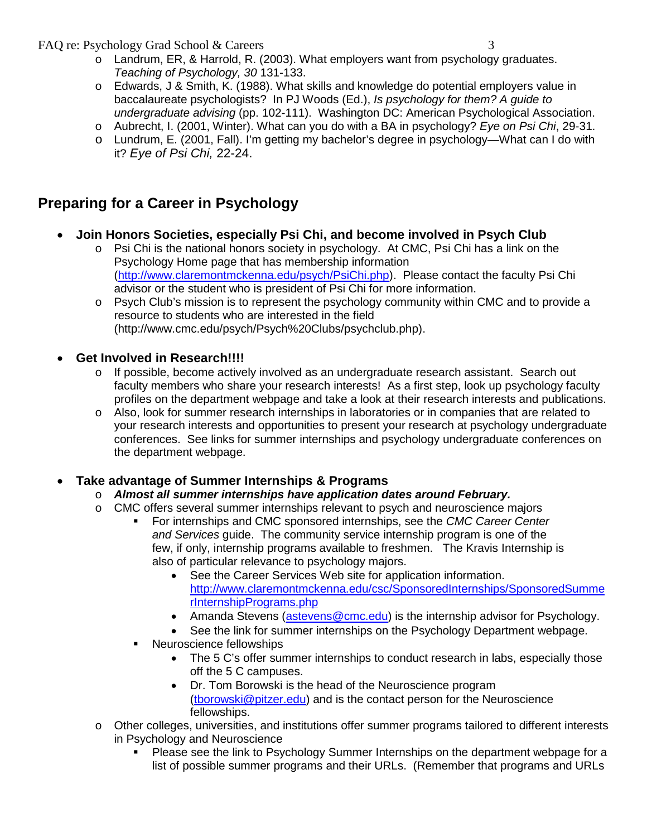- o Landrum, ER, & Harrold, R. (2003). What employers want from psychology graduates. *Teaching of Psychology, 30* 131-133.
- o Edwards, J & Smith, K. (1988). What skills and knowledge do potential employers value in baccalaureate psychologists? In PJ Woods (Ed.), *Is psychology for them? A guide to undergraduate advising* (pp. 102-111). Washington DC: American Psychological Association.
- o Aubrecht, I. (2001, Winter). What can you do with a BA in psychology? *Eye on Psi Chi*, 29-31.
- o Lundrum, E. (2001, Fall). I'm getting my bachelor's degree in psychology—What can I do with it? *Eye of Psi Chi,* 22-24.

# **Preparing for a Career in Psychology**

- **Join Honors Societies, especially Psi Chi, and become involved in Psych Club**
	- $\circ$  Psi Chi is the national honors society in psychology. At CMC, Psi Chi has a link on the Psychology Home page that has membership information [\(http://www.claremontmckenna.edu/psych/PsiChi.php\)](http://www.claremontmckenna.edu/psych/PsiChi.php). Please contact the faculty Psi Chi advisor or the student who is president of Psi Chi for more information.
	- o Psych Club's mission is to represent the psychology community within CMC and to provide a resource to students who are interested in the field (http://www.cmc.edu/psych/Psych%20Clubs/psychclub.php).

## • **Get Involved in Research!!!!**

- o If possible, become actively involved as an undergraduate research assistant. Search out faculty members who share your research interests! As a first step, look up psychology faculty profiles on the department webpage and take a look at their research interests and publications.
- o Also, look for summer research internships in laboratories or in companies that are related to your research interests and opportunities to present your research at psychology undergraduate conferences. See links for summer internships and psychology undergraduate conferences on the department webpage.

## • **Take advantage of Summer Internships & Programs**

- o *Almost all summer internships have application dates around February.*
- o CMC offers several summer internships relevant to psych and neuroscience majors
	- For internships and CMC sponsored internships, see the *CMC Career Center and Services* guide. The community service internship program is one of the few, if only, internship programs available to freshmen. The Kravis Internship is also of particular relevance to psychology majors.
		- See the Career Services Web site for application information. [http://www.claremontmckenna.edu/csc/SponsoredInternships/SponsoredSumme](http://www.claremontmckenna.edu/csc/SponsoredInternships/SponsoredSummerInternshipPrograms.php) [rInternshipPrograms.php](http://www.claremontmckenna.edu/csc/SponsoredInternships/SponsoredSummerInternshipPrograms.php)
		- Amanda Stevens [\(astevens@cmc.edu\)](mailto:astevens@cmc.edu) is the internship advisor for Psychology.
		- See the link for summer internships on the Psychology Department webpage.
	- **Neuroscience fellowships** 
		- The 5 C's offer summer internships to conduct research in labs, especially those off the 5 C campuses.
		- Dr. Tom Borowski is the head of the Neuroscience program [\(tborowski@pitzer.edu\)](mailto:tborowski@pitzer.edu) and is the contact person for the Neuroscience fellowships.
- o Other colleges, universities, and institutions offer summer programs tailored to different interests in Psychology and Neuroscience
	- Please see the link to Psychology Summer Internships on the department webpage for a list of possible summer programs and their URLs. (Remember that programs and URLs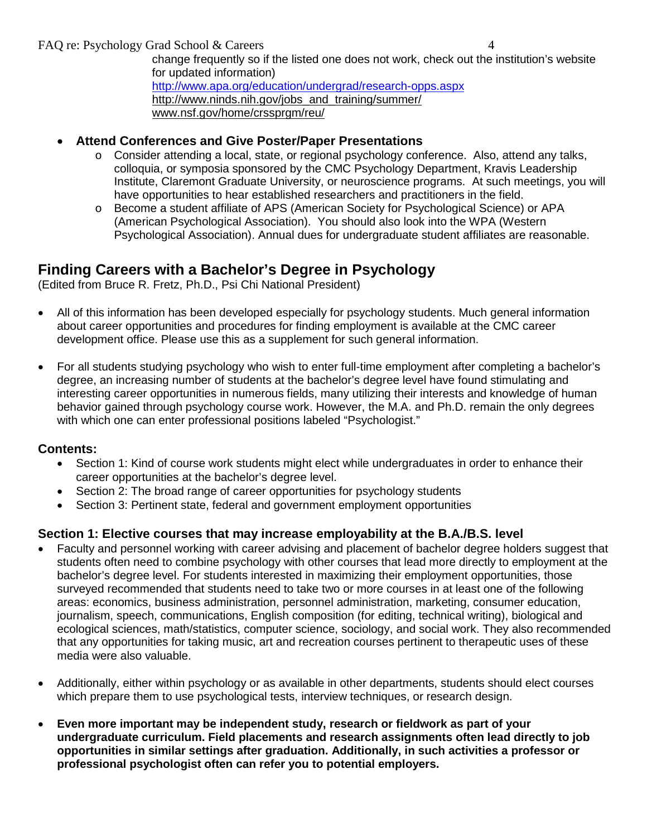- **Attend Conferences and Give Poster/Paper Presentations**
	- $\circ$  Consider attending a local, state, or regional psychology conference. Also, attend any talks, colloquia, or symposia sponsored by the CMC Psychology Department, Kravis Leadership Institute, Claremont Graduate University, or neuroscience programs. At such meetings, you will have opportunities to hear established researchers and practitioners in the field.
	- o Become a student affiliate of APS (American Society for Psychological Science) or APA (American Psychological Association). You should also look into the WPA (Western Psychological Association). Annual dues for undergraduate student affiliates are reasonable.

## **Finding Careers with a Bachelor's Degree in Psychology**

(Edited from Bruce R. Fretz, Ph.D., Psi Chi National President)

- All of this information has been developed especially for psychology students. Much general information about career opportunities and procedures for finding employment is available at the CMC career development office. Please use this as a supplement for such general information.
- For all students studying psychology who wish to enter full-time employment after completing a bachelor's degree, an increasing number of students at the bachelor's degree level have found stimulating and interesting career opportunities in numerous fields, many utilizing their interests and knowledge of human behavior gained through psychology course work. However, the M.A. and Ph.D. remain the only degrees with which one can enter professional positions labeled "Psychologist."

### **Contents:**

- Section 1: Kind of course work students might elect while undergraduates in order to enhance their career opportunities at the bachelor's degree level.
- Section 2: The broad range of career opportunities for psychology students
- Section 3: Pertinent state, federal and government employment opportunities

## **Section 1: Elective courses that may increase employability at the B.A./B.S. level**

- Faculty and personnel working with career advising and placement of bachelor degree holders suggest that students often need to combine psychology with other courses that lead more directly to employment at the bachelor's degree level. For students interested in maximizing their employment opportunities, those surveyed recommended that students need to take two or more courses in at least one of the following areas: economics, business administration, personnel administration, marketing, consumer education, journalism, speech, communications, English composition (for editing, technical writing), biological and ecological sciences, math/statistics, computer science, sociology, and social work. They also recommended that any opportunities for taking music, art and recreation courses pertinent to therapeutic uses of these media were also valuable.
- Additionally, either within psychology or as available in other departments, students should elect courses which prepare them to use psychological tests, interview techniques, or research design.
- **Even more important may be independent study, research or fieldwork as part of your undergraduate curriculum. Field placements and research assignments often lead directly to job opportunities in similar settings after graduation. Additionally, in such activities a professor or professional psychologist often can refer you to potential employers.**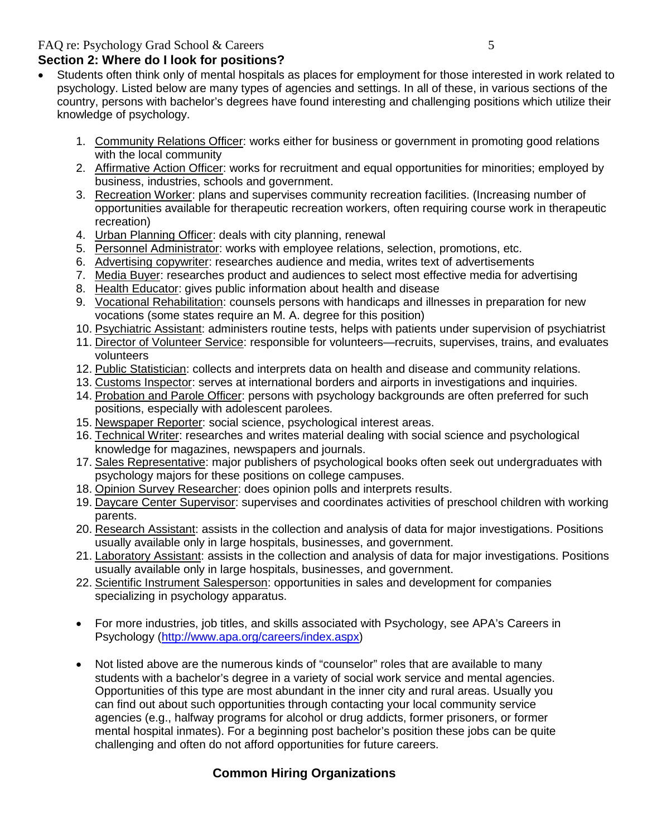## **Section 2: Where do I look for positions?**

- Students often think only of mental hospitals as places for employment for those interested in work related to psychology. Listed below are many types of agencies and settings. In all of these, in various sections of the country, persons with bachelor's degrees have found interesting and challenging positions which utilize their knowledge of psychology.
	- 1. Community Relations Officer: works either for business or government in promoting good relations with the local community
	- 2. Affirmative Action Officer: works for recruitment and equal opportunities for minorities; employed by business, industries, schools and government.
	- 3. Recreation Worker: plans and supervises community recreation facilities. (Increasing number of opportunities available for therapeutic recreation workers, often requiring course work in therapeutic recreation)
	- 4. Urban Planning Officer: deals with city planning, renewal
	- 5. Personnel Administrator: works with employee relations, selection, promotions, etc.
	- 6. Advertising copywriter: researches audience and media, writes text of advertisements
	- 7. Media Buyer: researches product and audiences to select most effective media for advertising
	- 8. Health Educator: gives public information about health and disease
	- 9. Vocational Rehabilitation: counsels persons with handicaps and illnesses in preparation for new vocations (some states require an M. A. degree for this position)
	- 10. Psychiatric Assistant: administers routine tests, helps with patients under supervision of psychiatrist
	- 11. Director of Volunteer Service: responsible for volunteers—recruits, supervises, trains, and evaluates volunteers
	- 12. Public Statistician: collects and interprets data on health and disease and community relations.
	- 13. Customs Inspector: serves at international borders and airports in investigations and inquiries.
	- 14. Probation and Parole Officer: persons with psychology backgrounds are often preferred for such positions, especially with adolescent parolees.
	- 15. Newspaper Reporter: social science, psychological interest areas.
	- 16. Technical Writer: researches and writes material dealing with social science and psychological knowledge for magazines, newspapers and journals.
	- 17. Sales Representative: major publishers of psychological books often seek out undergraduates with psychology majors for these positions on college campuses.
	- 18. Opinion Survey Researcher: does opinion polls and interprets results.
	- 19. Daycare Center Supervisor: supervises and coordinates activities of preschool children with working parents.
	- 20. Research Assistant: assists in the collection and analysis of data for major investigations. Positions usually available only in large hospitals, businesses, and government.
	- 21. Laboratory Assistant: assists in the collection and analysis of data for major investigations. Positions usually available only in large hospitals, businesses, and government.
	- 22. Scientific Instrument Salesperson: opportunities in sales and development for companies specializing in psychology apparatus.
	- For more industries, job titles, and skills associated with Psychology, see APA's Careers in Psychology [\(http://www.apa.org/careers/index.aspx\)](http://www.apa.org/careers/index.aspx)
	- Not listed above are the numerous kinds of "counselor" roles that are available to many students with a bachelor's degree in a variety of social work service and mental agencies. Opportunities of this type are most abundant in the inner city and rural areas. Usually you can find out about such opportunities through contacting your local community service agencies (e.g., halfway programs for alcohol or drug addicts, former prisoners, or former mental hospital inmates). For a beginning post bachelor's position these jobs can be quite challenging and often do not afford opportunities for future careers.

## **Common Hiring Organizations**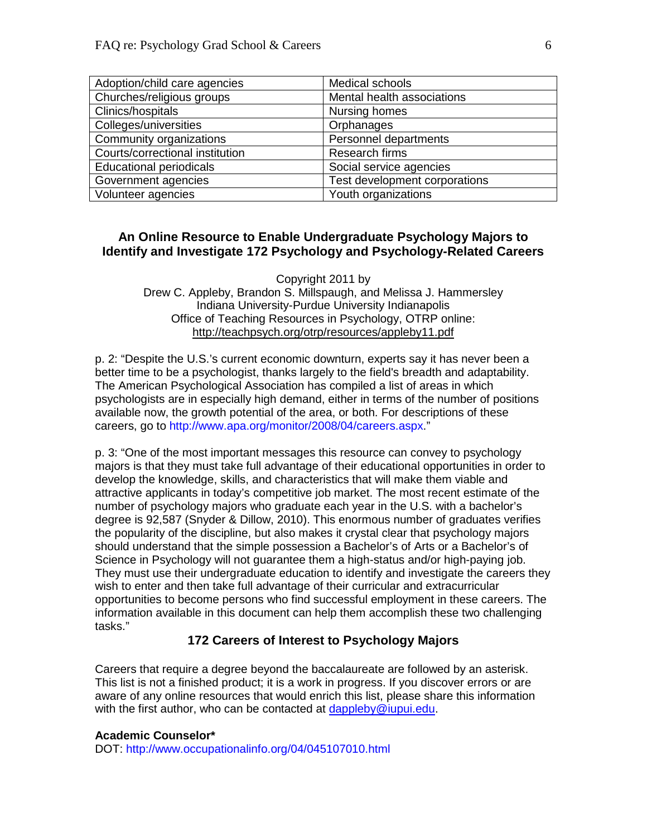| Adoption/child care agencies    | Medical schools               |
|---------------------------------|-------------------------------|
| Churches/religious groups       | Mental health associations    |
| Clinics/hospitals               | Nursing homes                 |
| Colleges/universities           | Orphanages                    |
| Community organizations         | Personnel departments         |
| Courts/correctional institution | Research firms                |
| <b>Educational periodicals</b>  | Social service agencies       |
| Government agencies             | Test development corporations |
| Volunteer agencies              | Youth organizations           |

#### **An Online Resource to Enable Undergraduate Psychology Majors to Identify and Investigate 172 Psychology and Psychology-Related Careers**

Copyright 2011 by Drew C. Appleby, Brandon S. Millspaugh, and Melissa J. Hammersley Indiana University-Purdue University Indianapolis Office of Teaching Resources in Psychology, OTRP online: http://teachpsych.org/otrp/resources/appleby11.pdf

p. 2: "Despite the U.S.'s current economic downturn, experts say it has never been a better time to be a psychologist, thanks largely to the field's breadth and adaptability. The American Psychological Association has compiled a list of areas in which psychologists are in especially high demand, either in terms of the number of positions available now, the growth potential of the area, or both. For descriptions of these careers, go to http://www.apa.org/monitor/2008/04/careers.aspx."

p. 3: "One of the most important messages this resource can convey to psychology majors is that they must take full advantage of their educational opportunities in order to develop the knowledge, skills, and characteristics that will make them viable and attractive applicants in today's competitive job market. The most recent estimate of the number of psychology majors who graduate each year in the U.S. with a bachelor's degree is 92,587 (Snyder & Dillow, 2010). This enormous number of graduates verifies the popularity of the discipline, but also makes it crystal clear that psychology majors should understand that the simple possession a Bachelor's of Arts or a Bachelor's of Science in Psychology will not guarantee them a high-status and/or high-paying job. They must use their undergraduate education to identify and investigate the careers they wish to enter and then take full advantage of their curricular and extracurricular opportunities to become persons who find successful employment in these careers. The information available in this document can help them accomplish these two challenging tasks."

#### **172 Careers of Interest to Psychology Majors**

Careers that require a degree beyond the baccalaureate are followed by an asterisk. This list is not a finished product; it is a work in progress. If you discover errors or are aware of any online resources that would enrich this list, please share this information with the first author, who can be contacted at [dappleby@iupui.edu.](mailto:dappleby@iupui.edu)

#### **Academic Counselor\***

DOT: http://www.occupationalinfo.org/04/045107010.html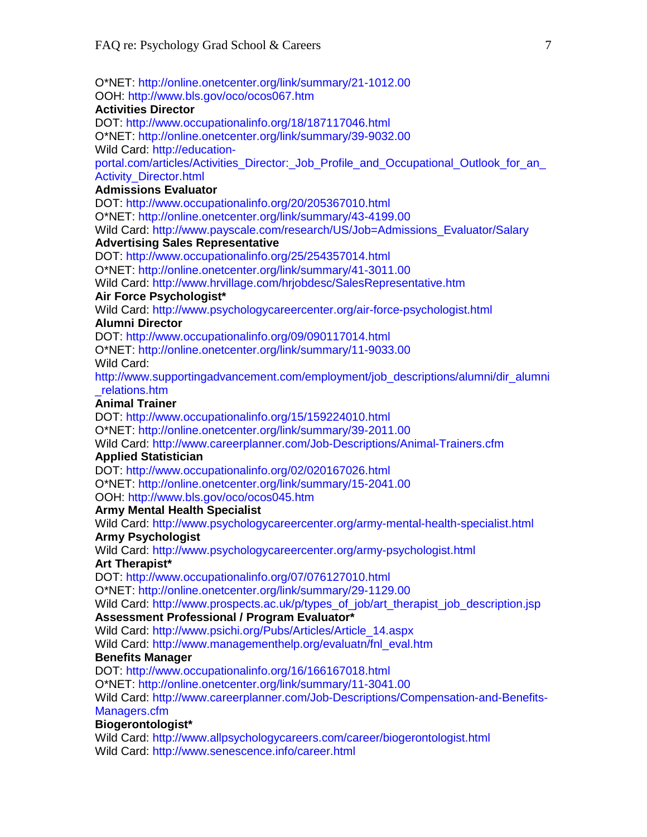O\*NET: http://online.onetcenter.org/link/summary/21-1012.00 OOH: http://www.bls.gov/oco/ocos067.htm

#### **Activities Director**

DOT: http://www.occupationalinfo.org/18/187117046.html

O\*NET: http://online.onetcenter.org/link/summary/39-9032.00

Wild Card: http://education-

portal.com/articles/Activities\_Director:\_Job\_Profile\_and\_Occupational\_Outlook\_for\_an\_ Activity\_Director.html

#### **Admissions Evaluator**

DOT: http://www.occupationalinfo.org/20/205367010.html O\*NET: http://online.onetcenter.org/link/summary/43-4199.00 Wild Card: http://www.payscale.com/research/US/Job=Admissions\_Evaluator/Salary

#### **Advertising Sales Representative**

DOT: http://www.occupationalinfo.org/25/254357014.html

O\*NET: http://online.onetcenter.org/link/summary/41-3011.00

Wild Card: http://www.hrvillage.com/hrjobdesc/SalesRepresentative.htm

#### **Air Force Psychologist\***

Wild Card: http://www.psychologycareercenter.org/air-force-psychologist.html

#### **Alumni Director**

DOT: http://www.occupationalinfo.org/09/090117014.html

O\*NET: http://online.onetcenter.org/link/summary/11-9033.00 Wild Card:

http://www.supportingadvancement.com/employment/job\_descriptions/alumni/dir\_alumni \_relations.htm

#### **Animal Trainer**

DOT: http://www.occupationalinfo.org/15/159224010.html

O\*NET: http://online.onetcenter.org/link/summary/39-2011.00

Wild Card: http://www.careerplanner.com/Job-Descriptions/Animal-Trainers.cfm

#### **Applied Statistician**

DOT: http://www.occupationalinfo.org/02/020167026.html O\*NET: http://online.onetcenter.org/link/summary/15-2041.00

OOH: http://www.bls.gov/oco/ocos045.htm

#### **Army Mental Health Specialist**

Wild Card: http://www.psychologycareercenter.org/army-mental-health-specialist.html

#### **Army Psychologist**

Wild Card: http://www.psychologycareercenter.org/army-psychologist.html

#### **Art Therapist\***

DOT: http://www.occupationalinfo.org/07/076127010.html

O\*NET: http://online.onetcenter.org/link/summary/29-1129.00

Wild Card: http://www.prospects.ac.uk/p/types\_of\_job/art\_therapist\_job\_description.jsp

## **Assessment Professional / Program Evaluator\***

Wild Card: http://www.psichi.org/Pubs/Articles/Article\_14.aspx

Wild Card: http://www.managementhelp.org/evaluatn/fnl\_eval.htm

#### **Benefits Manager**

DOT: http://www.occupationalinfo.org/16/166167018.html

O\*NET: http://online.onetcenter.org/link/summary/11-3041.00

Wild Card: http://www.careerplanner.com/Job-Descriptions/Compensation-and-Benefits-Managers.cfm

#### **Biogerontologist\***

Wild Card: http://www.allpsychologycareers.com/career/biogerontologist.html Wild Card: http://www.senescence.info/career.html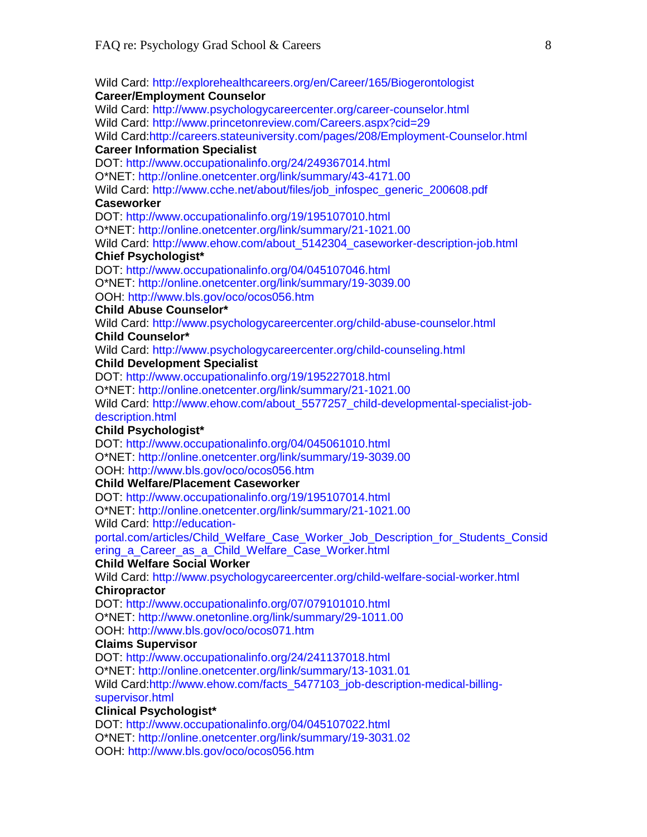Wild Card: http://explorehealthcareers.org/en/Career/165/Biogerontologist **Career/Employment Counselor**  Wild Card: http://www.psychologycareercenter.org/career-counselor.html

Wild Card: http://www.princetonreview.com/Careers.aspx?cid=29

Wild Card:http://careers.stateuniversity.com/pages/208/Employment-Counselor.html **Career Information Specialist** 

DOT: http://www.occupationalinfo.org/24/249367014.html O\*NET: http://online.onetcenter.org/link/summary/43-4171.00 Wild Card: http://www.cche.net/about/files/job\_infospec\_generic\_200608.pdf

#### **Caseworker**

DOT: http://www.occupationalinfo.org/19/195107010.html

O\*NET: http://online.onetcenter.org/link/summary/21-1021.00

Wild Card: http://www.ehow.com/about\_5142304\_caseworker-description-job.html

#### **Chief Psychologist\***

DOT: http://www.occupationalinfo.org/04/045107046.html O\*NET: http://online.onetcenter.org/link/summary/19-3039.00 OOH: http://www.bls.gov/oco/ocos056.htm

#### **Child Abuse Counselor\***

Wild Card: http://www.psychologycareercenter.org/child-abuse-counselor.html **Child Counselor\*** 

Wild Card: http://www.psychologycareercenter.org/child-counseling.html

#### **Child Development Specialist**

DOT: http://www.occupationalinfo.org/19/195227018.html

O\*NET: http://online.onetcenter.org/link/summary/21-1021.00

Wild Card: http://www.ehow.com/about\_5577257\_child-developmental-specialist-jobdescription.html

#### **Child Psychologist\***

DOT: http://www.occupationalinfo.org/04/045061010.html

O\*NET: http://online.onetcenter.org/link/summary/19-3039.00

#### OOH: http://www.bls.gov/oco/ocos056.htm

#### **Child Welfare/Placement Caseworker**

DOT: http://www.occupationalinfo.org/19/195107014.html

O\*NET: http://online.onetcenter.org/link/summary/21-1021.00

Wild Card: http://education-

portal.com/articles/Child\_Welfare\_Case\_Worker\_Job\_Description\_for\_Students\_Consid ering\_a\_Career\_as\_a\_Child\_Welfare\_Case\_Worker.html

#### **Child Welfare Social Worker**

Wild Card: http://www.psychologycareercenter.org/child-welfare-social-worker.html **Chiropractor** 

DOT: http://www.occupationalinfo.org/07/079101010.html

O\*NET: http://www.onetonline.org/link/summary/29-1011.00

OOH: http://www.bls.gov/oco/ocos071.htm

#### **Claims Supervisor**

DOT: http://www.occupationalinfo.org/24/241137018.html

O\*NET: http://online.onetcenter.org/link/summary/13-1031.01

Wild Card:http://www.ehow.com/facts\_5477103\_job-description-medical-billingsupervisor.html

## **Clinical Psychologist\***

DOT: http://www.occupationalinfo.org/04/045107022.html O\*NET: http://online.onetcenter.org/link/summary/19-3031.02 OOH: http://www.bls.gov/oco/ocos056.htm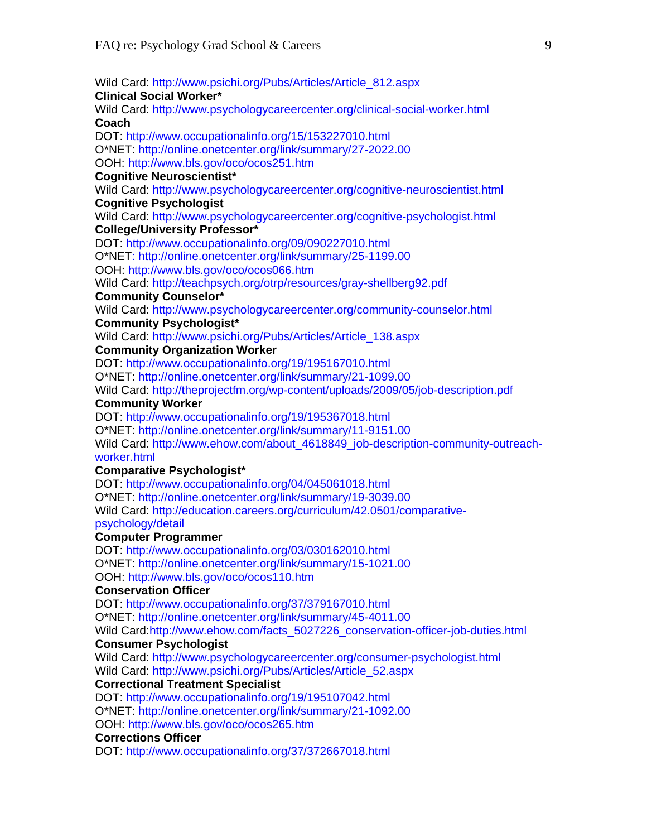Wild Card: http://www.psichi.org/Pubs/Articles/Article\_812.aspx **Clinical Social Worker\***  Wild Card: http://www.psychologycareercenter.org/clinical-social-worker.html **Coach**  DOT: http://www.occupationalinfo.org/15/153227010.html O\*NET: http://online.onetcenter.org/link/summary/27-2022.00 OOH: http://www.bls.gov/oco/ocos251.htm **Cognitive Neuroscientist\***  Wild Card: http://www.psychologycareercenter.org/cognitive-neuroscientist.html **Cognitive Psychologist**  Wild Card: http://www.psychologycareercenter.org/cognitive-psychologist.html **College/University Professor\***  DOT: http://www.occupationalinfo.org/09/090227010.html O\*NET: http://online.onetcenter.org/link/summary/25-1199.00 OOH: http://www.bls.gov/oco/ocos066.htm Wild Card: http://teachpsych.org/otrp/resources/gray-shellberg92.pdf **Community Counselor\***  Wild Card: http://www.psychologycareercenter.org/community-counselor.html **Community Psychologist\***  Wild Card: http://www.psichi.org/Pubs/Articles/Article\_138.aspx **Community Organization Worker**  DOT: http://www.occupationalinfo.org/19/195167010.html O\*NET: http://online.onetcenter.org/link/summary/21-1099.00 Wild Card: http://theprojectfm.org/wp-content/uploads/2009/05/job-description.pdf **Community Worker**  DOT: http://www.occupationalinfo.org/19/195367018.html O\*NET: http://online.onetcenter.org/link/summary/11-9151.00 Wild Card: http://www.ehow.com/about\_4618849\_job-description-community-outreachworker.html **Comparative Psychologist\***  DOT: http://www.occupationalinfo.org/04/045061018.html O\*NET: http://online.onetcenter.org/link/summary/19-3039.00 Wild Card: http://education.careers.org/curriculum/42.0501/comparativepsychology/detail **Computer Programmer**  DOT: http://www.occupationalinfo.org/03/030162010.html O\*NET: http://online.onetcenter.org/link/summary/15-1021.00 OOH: http://www.bls.gov/oco/ocos110.htm **Conservation Officer**  DOT: http://www.occupationalinfo.org/37/379167010.html O\*NET: http://online.onetcenter.org/link/summary/45-4011.00 Wild Card:http://www.ehow.com/facts\_5027226\_conservation-officer-job-duties.html **Consumer Psychologist**  Wild Card: http://www.psychologycareercenter.org/consumer-psychologist.html Wild Card: http://www.psichi.org/Pubs/Articles/Article\_52.aspx **Correctional Treatment Specialist**  DOT: http://www.occupationalinfo.org/19/195107042.html O\*NET: http://online.onetcenter.org/link/summary/21-1092.00 OOH: http://www.bls.gov/oco/ocos265.htm **Corrections Officer**  DOT: http://www.occupationalinfo.org/37/372667018.html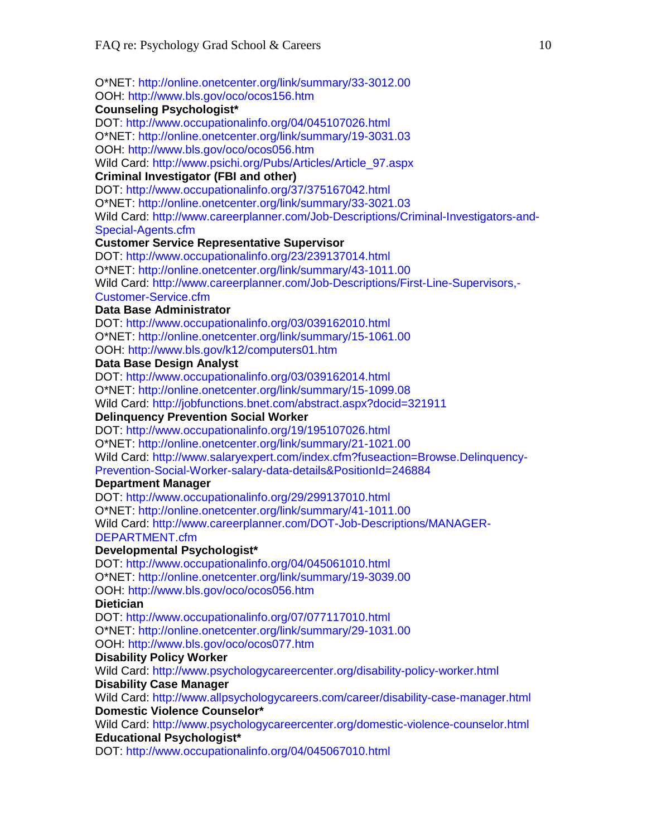O\*NET: http://online.onetcenter.org/link/summary/33-3012.00 OOH: http://www.bls.gov/oco/ocos156.htm

#### **Counseling Psychologist\***

DOT: http://www.occupationalinfo.org/04/045107026.html

O\*NET: http://online.onetcenter.org/link/summary/19-3031.03

OOH: http://www.bls.gov/oco/ocos056.htm

Wild Card: http://www.psichi.org/Pubs/Articles/Article\_97.aspx

#### **Criminal Investigator (FBI and other)**

DOT: http://www.occupationalinfo.org/37/375167042.html O\*NET: http://online.onetcenter.org/link/summary/33-3021.03 Wild Card: http://www.careerplanner.com/Job-Descriptions/Criminal-Investigators-and-Special-Agents.cfm

#### **Customer Service Representative Supervisor**

DOT: http://www.occupationalinfo.org/23/239137014.html O\*NET: http://online.onetcenter.org/link/summary/43-1011.00 Wild Card: http://www.careerplanner.com/Job-Descriptions/First-Line-Supervisors,- Customer-Service.cfm

#### **Data Base Administrator**

DOT: http://www.occupationalinfo.org/03/039162010.html O\*NET: http://online.onetcenter.org/link/summary/15-1061.00 OOH: http://www.bls.gov/k12/computers01.htm

#### **Data Base Design Analyst**

DOT: http://www.occupationalinfo.org/03/039162014.html O\*NET: http://online.onetcenter.org/link/summary/15-1099.08 Wild Card: http://jobfunctions.bnet.com/abstract.aspx?docid=321911

#### **Delinquency Prevention Social Worker**

DOT: http://www.occupationalinfo.org/19/195107026.html

O\*NET: http://online.onetcenter.org/link/summary/21-1021.00

Wild Card: http://www.salaryexpert.com/index.cfm?fuseaction=Browse.Delinquency-

Prevention-Social-Worker-salary-data-details&PositionId=246884

#### **Department Manager**

DOT: http://www.occupationalinfo.org/29/299137010.html O\*NET: http://online.onetcenter.org/link/summary/41-1011.00 Wild Card: http://www.careerplanner.com/DOT-Job-Descriptions/MANAGER-DEPARTMENT.cfm

#### **Developmental Psychologist\***

DOT: http://www.occupationalinfo.org/04/045061010.html O\*NET: http://online.onetcenter.org/link/summary/19-3039.00 OOH: http://www.bls.gov/oco/ocos056.htm

**Dietician** 

DOT: http://www.occupationalinfo.org/07/077117010.html

O\*NET: http://online.onetcenter.org/link/summary/29-1031.00

#### OOH: http://www.bls.gov/oco/ocos077.htm

#### **Disability Policy Worker**

Wild Card: http://www.psychologycareercenter.org/disability-policy-worker.html **Disability Case Manager** 

Wild Card: http://www.allpsychologycareers.com/career/disability-case-manager.html **Domestic Violence Counselor\***

Wild Card: http://www.psychologycareercenter.org/domestic-violence-counselor.html **Educational Psychologist\*** 

DOT: http://www.occupationalinfo.org/04/045067010.html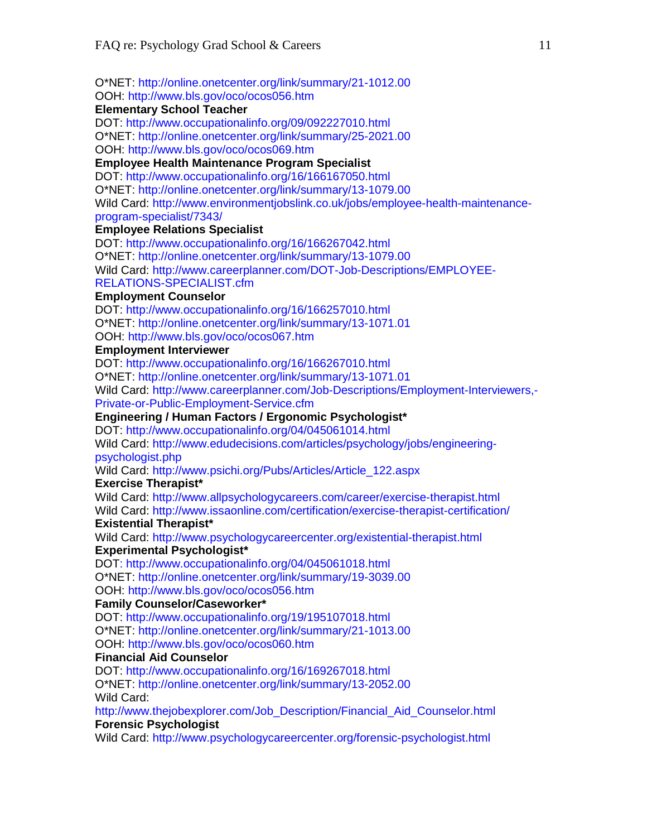O\*NET: http://online.onetcenter.org/link/summary/21-1012.00 OOH: http://www.bls.gov/oco/ocos056.htm

#### **Elementary School Teacher**

DOT: http://www.occupationalinfo.org/09/092227010.html O\*NET: http://online.onetcenter.org/link/summary/25-2021.00 OOH: http://www.bls.gov/oco/ocos069.htm

## **Employee Health Maintenance Program Specialist**

DOT: http://www.occupationalinfo.org/16/166167050.html O\*NET: http://online.onetcenter.org/link/summary/13-1079.00 Wild Card: http://www.environmentjobslink.co.uk/jobs/employee-health-maintenanceprogram-specialist/7343/

#### **Employee Relations Specialist**

DOT: http://www.occupationalinfo.org/16/166267042.html O\*NET: http://online.onetcenter.org/link/summary/13-1079.00 Wild Card: http://www.careerplanner.com/DOT-Job-Descriptions/EMPLOYEE-RELATIONS-SPECIALIST.cfm

#### **Employment Counselor**

DOT: http://www.occupationalinfo.org/16/166257010.html O\*NET: http://online.onetcenter.org/link/summary/13-1071.01 OOH: http://www.bls.gov/oco/ocos067.htm

#### **Employment Interviewer**

DOT: http://www.occupationalinfo.org/16/166267010.html

O\*NET: http://online.onetcenter.org/link/summary/13-1071.01

Wild Card: http://www.careerplanner.com/Job-Descriptions/Employment-Interviewers,- Private-or-Public-Employment-Service.cfm

#### **Engineering / Human Factors / Ergonomic Psychologist\***

DOT: http://www.occupationalinfo.org/04/045061014.html

Wild Card: http://www.edudecisions.com/articles/psychology/jobs/engineeringpsychologist.php

Wild Card: http://www.psichi.org/Pubs/Articles/Article\_122.aspx

#### **Exercise Therapist\***

Wild Card: http://www.allpsychologycareers.com/career/exercise-therapist.html Wild Card: http://www.issaonline.com/certification/exercise-therapist-certification/

#### **Existential Therapist\***

Wild Card: http://www.psychologycareercenter.org/existential-therapist.html

#### **Experimental Psychologist\***

DOT: http://www.occupationalinfo.org/04/045061018.html

O\*NET: http://online.onetcenter.org/link/summary/19-3039.00

#### OOH: http://www.bls.gov/oco/ocos056.htm

#### **Family Counselor/Caseworker\***

DOT: http://www.occupationalinfo.org/19/195107018.html

O\*NET: http://online.onetcenter.org/link/summary/21-1013.00

#### OOH: http://www.bls.gov/oco/ocos060.htm

#### **Financial Aid Counselor**

DOT: http://www.occupationalinfo.org/16/169267018.html O\*NET: http://online.onetcenter.org/link/summary/13-2052.00 Wild Card:

http://www.thejobexplorer.com/Job\_Description/Financial\_Aid\_Counselor.html **Forensic Psychologist** 

Wild Card: http://www.psychologycareercenter.org/forensic-psychologist.html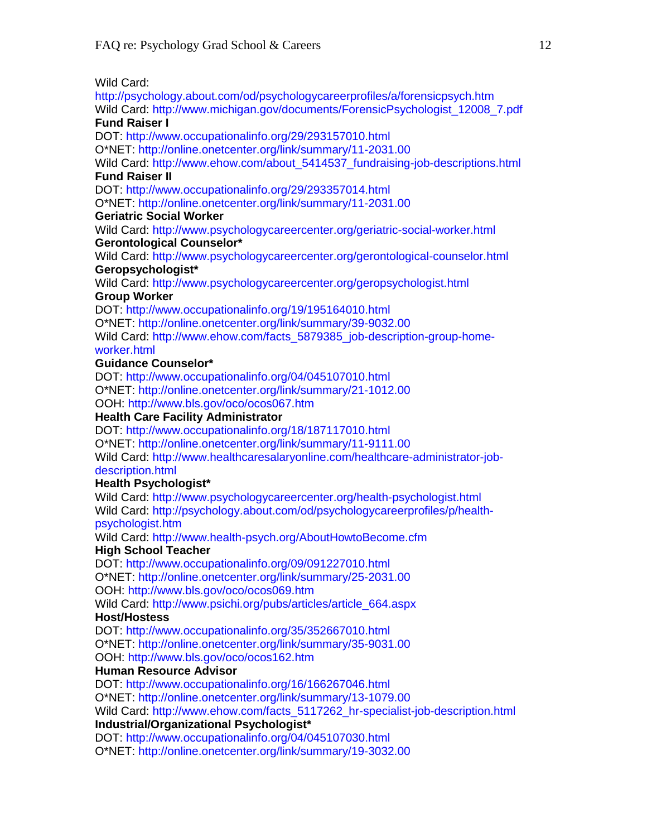Wild Card:

http://psychology.about.com/od/psychologycareerprofiles/a/forensicpsych.htm Wild Card: http://www.michigan.gov/documents/ForensicPsychologist\_12008\_7.pdf **Fund Raiser I** 

DOT: http://www.occupationalinfo.org/29/293157010.html

O\*NET: http://online.onetcenter.org/link/summary/11-2031.00

Wild Card: http://www.ehow.com/about\_5414537\_fundraising-job-descriptions.html **Fund Raiser II** 

DOT: http://www.occupationalinfo.org/29/293357014.html

O\*NET: http://online.onetcenter.org/link/summary/11-2031.00

#### **Geriatric Social Worker**

Wild Card: http://www.psychologycareercenter.org/geriatric-social-worker.html **Gerontological Counselor\*** 

Wild Card: http://www.psychologycareercenter.org/gerontological-counselor.html **Geropsychologist\*** 

Wild Card: http://www.psychologycareercenter.org/geropsychologist.html **Group Worker** 

DOT: http://www.occupationalinfo.org/19/195164010.html O\*NET: http://online.onetcenter.org/link/summary/39-9032.00

Wild Card: http://www.ehow.com/facts\_5879385\_job-description-group-homeworker.html

#### **Guidance Counselor\***

DOT: http://www.occupationalinfo.org/04/045107010.html O\*NET: http://online.onetcenter.org/link/summary/21-1012.00 OOH: http://www.bls.gov/oco/ocos067.htm

#### **Health Care Facility Administrator**

DOT: http://www.occupationalinfo.org/18/187117010.html

O\*NET: http://online.onetcenter.org/link/summary/11-9111.00

Wild Card: http://www.healthcaresalaryonline.com/healthcare-administrator-jobdescription.html

#### **Health Psychologist\***

Wild Card: http://www.psychologycareercenter.org/health-psychologist.html Wild Card: http://psychology.about.com/od/psychologycareerprofiles/p/healthpsychologist.htm

Wild Card: http://www.health-psych.org/AboutHowtoBecome.cfm

#### **High School Teacher**

DOT: http://www.occupationalinfo.org/09/091227010.html

O\*NET: http://online.onetcenter.org/link/summary/25-2031.00

OOH: http://www.bls.gov/oco/ocos069.htm

Wild Card: http://www.psichi.org/pubs/articles/article\_664.aspx

#### **Host/Hostess**

DOT: http://www.occupationalinfo.org/35/352667010.html O\*NET: http://online.onetcenter.org/link/summary/35-9031.00 OOH: http://www.bls.gov/oco/ocos162.htm

#### **Human Resource Advisor**

DOT: http://www.occupationalinfo.org/16/166267046.html

O\*NET: http://online.onetcenter.org/link/summary/13-1079.00

Wild Card: http://www.ehow.com/facts\_5117262\_hr-specialist-job-description.html

#### **Industrial/Organizational Psychologist\***

DOT: http://www.occupationalinfo.org/04/045107030.html O\*NET: http://online.onetcenter.org/link/summary/19-3032.00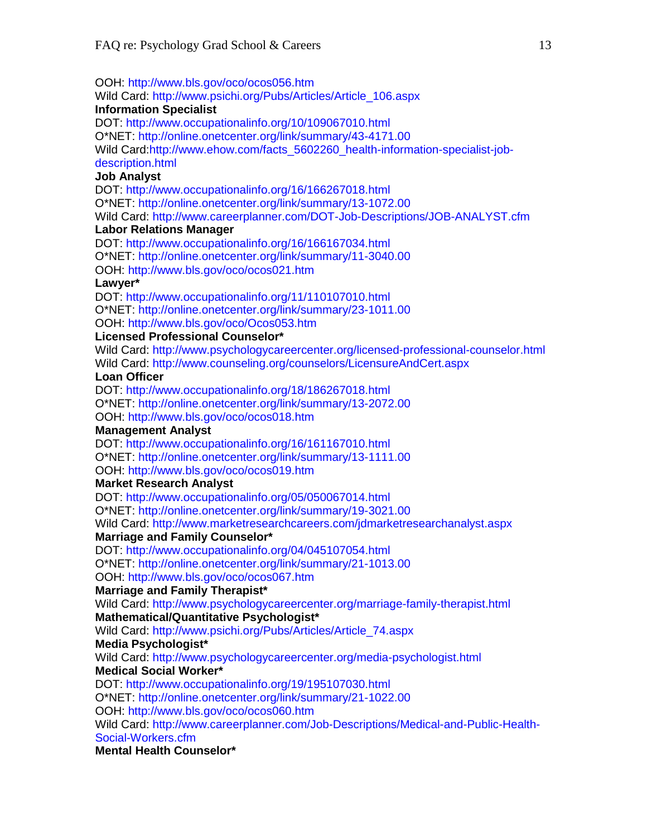OOH: http://www.bls.gov/oco/ocos056.htm

Wild Card: http://www.psichi.org/Pubs/Articles/Article\_106.aspx

#### **Information Specialist**

DOT: http://www.occupationalinfo.org/10/109067010.html

O\*NET: http://online.onetcenter.org/link/summary/43-4171.00

Wild Card:http://www.ehow.com/facts\_5602260\_health-information-specialist-jobdescription.html

#### **Job Analyst**

DOT: http://www.occupationalinfo.org/16/166267018.html

O\*NET: http://online.onetcenter.org/link/summary/13-1072.00

Wild Card: http://www.careerplanner.com/DOT-Job-Descriptions/JOB-ANALYST.cfm

#### **Labor Relations Manager**

DOT: http://www.occupationalinfo.org/16/166167034.html O\*NET: http://online.onetcenter.org/link/summary/11-3040.00

OOH: http://www.bls.gov/oco/ocos021.htm

#### **Lawyer\***

DOT: http://www.occupationalinfo.org/11/110107010.html O\*NET: http://online.onetcenter.org/link/summary/23-1011.00 OOH: http://www.bls.gov/oco/Ocos053.htm

### **Licensed Professional Counselor\***

Wild Card: http://www.psychologycareercenter.org/licensed-professional-counselor.html Wild Card: http://www.counseling.org/counselors/LicensureAndCert.aspx

#### **Loan Officer**

DOT: http://www.occupationalinfo.org/18/186267018.html

O\*NET: http://online.onetcenter.org/link/summary/13-2072.00

OOH: http://www.bls.gov/oco/ocos018.htm

## **Management Analyst**

DOT: http://www.occupationalinfo.org/16/161167010.html

O\*NET: http://online.onetcenter.org/link/summary/13-1111.00

#### OOH: http://www.bls.gov/oco/ocos019.htm

### **Market Research Analyst**

DOT: http://www.occupationalinfo.org/05/050067014.html O\*NET: http://online.onetcenter.org/link/summary/19-3021.00

Wild Card: http://www.marketresearchcareers.com/jdmarketresearchanalyst.aspx

### **Marriage and Family Counselor\***

DOT: http://www.occupationalinfo.org/04/045107054.html O\*NET: http://online.onetcenter.org/link/summary/21-1013.00

OOH: http://www.bls.gov/oco/ocos067.htm

#### **Marriage and Family Therapist\***

Wild Card: http://www.psychologycareercenter.org/marriage-family-therapist.html **Mathematical/Quantitative Psychologist\*** 

Wild Card: http://www.psichi.org/Pubs/Articles/Article\_74.aspx

### **Media Psychologist\***

Wild Card: http://www.psychologycareercenter.org/media-psychologist.html **Medical Social Worker\*** 

DOT: http://www.occupationalinfo.org/19/195107030.html

O\*NET: http://online.onetcenter.org/link/summary/21-1022.00

OOH: http://www.bls.gov/oco/ocos060.htm

Wild Card: http://www.careerplanner.com/Job-Descriptions/Medical-and-Public-Health-Social-Workers.cfm

### **Mental Health Counselor\***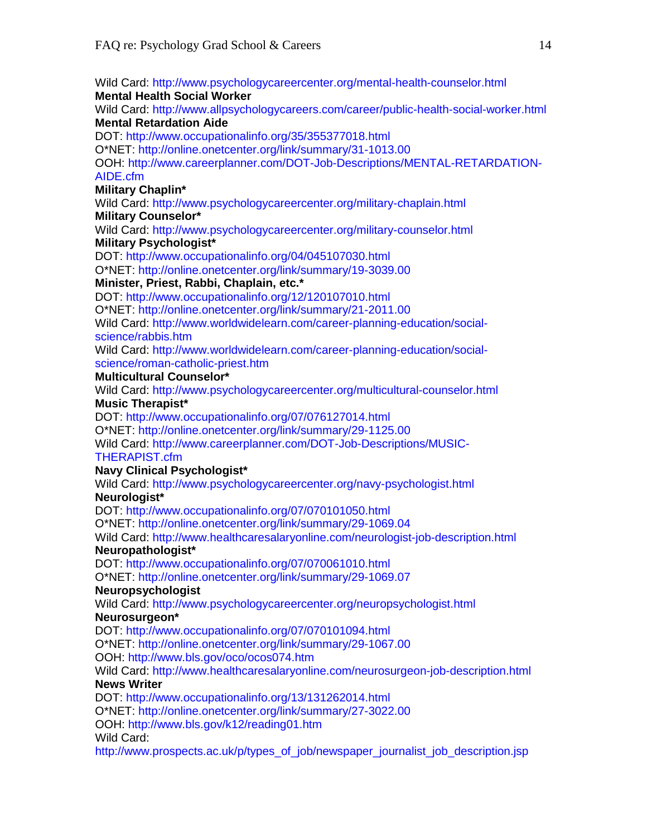Wild Card: http://www.psychologycareercenter.org/mental-health-counselor.html **Mental Health Social Worker**  Wild Card: http://www.allpsychologycareers.com/career/public-health-social-worker.html **Mental Retardation Aide**  DOT: http://www.occupationalinfo.org/35/355377018.html O\*NET: http://online.onetcenter.org/link/summary/31-1013.00 OOH: http://www.careerplanner.com/DOT-Job-Descriptions/MENTAL-RETARDATION-AIDE.cfm **Military Chaplin\***  Wild Card: http://www.psychologycareercenter.org/military-chaplain.html **Military Counselor\*** Wild Card: http://www.psychologycareercenter.org/military-counselor.html **Military Psychologist\***  DOT: http://www.occupationalinfo.org/04/045107030.html O\*NET: http://online.onetcenter.org/link/summary/19-3039.00 **Minister, Priest, Rabbi, Chaplain, etc.\***  DOT: http://www.occupationalinfo.org/12/120107010.html O\*NET: http://online.onetcenter.org/link/summary/21-2011.00 Wild Card: http://www.worldwidelearn.com/career-planning-education/socialscience/rabbis.htm Wild Card: http://www.worldwidelearn.com/career-planning-education/socialscience/roman-catholic-priest.htm **Multicultural Counselor\***  Wild Card: http://www.psychologycareercenter.org/multicultural-counselor.html **Music Therapist\***  DOT: http://www.occupationalinfo.org/07/076127014.html O\*NET: http://online.onetcenter.org/link/summary/29-1125.00 Wild Card: http://www.careerplanner.com/DOT-Job-Descriptions/MUSIC-THERAPIST.cfm **Navy Clinical Psychologist\***  Wild Card: http://www.psychologycareercenter.org/navy-psychologist.html **Neurologist\***  DOT: http://www.occupationalinfo.org/07/070101050.html O\*NET: http://online.onetcenter.org/link/summary/29-1069.04 Wild Card: http://www.healthcaresalaryonline.com/neurologist-job-description.html **Neuropathologist\***  DOT: http://www.occupationalinfo.org/07/070061010.html O\*NET: http://online.onetcenter.org/link/summary/29-1069.07 **Neuropsychologist**  Wild Card: http://www.psychologycareercenter.org/neuropsychologist.html **Neurosurgeon\***  DOT: http://www.occupationalinfo.org/07/070101094.html O\*NET: http://online.onetcenter.org/link/summary/29-1067.00 OOH: http://www.bls.gov/oco/ocos074.htm Wild Card: http://www.healthcaresalaryonline.com/neurosurgeon-job-description.html **News Writer**  DOT: http://www.occupationalinfo.org/13/131262014.html O\*NET: http://online.onetcenter.org/link/summary/27-3022.00 OOH: http://www.bls.gov/k12/reading01.htm Wild Card: http://www.prospects.ac.uk/p/types\_of\_job/newspaper\_journalist\_job\_description.jsp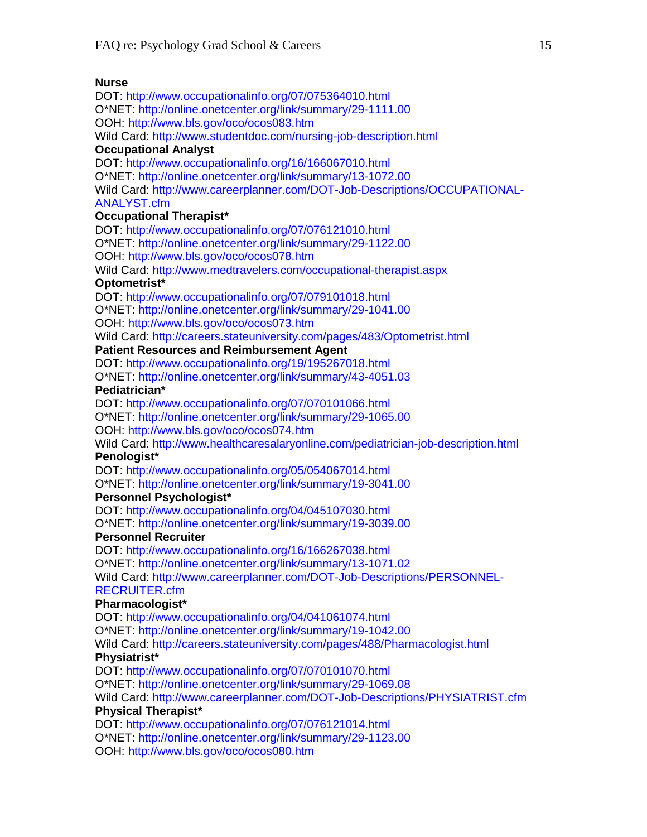#### **Nurse**

DOT: http://www.occupationalinfo.org/07/075364010.html O\*NET: http://online.onetcenter.org/link/summary/29-1111.00 OOH: http://www.bls.gov/oco/ocos083.htm Wild Card: http://www.studentdoc.com/nursing-job-description.html **Occupational Analyst**  DOT: http://www.occupationalinfo.org/16/166067010.html Wild Card: http://www.careerplanner.com/DOT-Job-Descriptions/OCCUPATIONAL-ANALYST.cfm **Occupational Therapist\***  DOT: http://www.occupationalinfo.org/07/076121010.html O\*NET: http://online.onetcenter.org/link/summary/29-1122.00 OOH: http://www.bls.gov/oco/ocos078.htm Wild Card: http://www.medtravelers.com/occupational-therapist.aspx **Optometrist\***  DOT: http://www.occupationalinfo.org/07/079101018.html O\*NET: http://online.onetcenter.org/link/summary/29-1041.00 OOH: http://www.bls.gov/oco/ocos073.htm DOT: http://www.occupationalinfo.org/19/195267018.html O\*NET: http://online.onetcenter.org/link/summary/43-4051.03 **Pediatrician\***  OOH: http://www.bls.gov/oco/ocos074.htm O\*NET: http://online.onetcenter.org/link/summary/19-3041.00 **Personnel Psychologist\***  DOT: http://www.occupationalinfo.org/04/045107030.html O\*NET: http://online.onetcenter.org/link/summary/19-3039.00 Wild Card: http://www.careerplanner.com/DOT-Job-Descriptions/PERSONNEL-**Pharmacologist\***  DOT: http://www.occupationalinfo.org/07/070101070.html O\*NET: http://online.onetcenter.org/link/summary/29-1069.08 **Physical Therapist\***  O\*NET: http://online.onetcenter.org/link/summary/29-1123.00

O\*NET: http://online.onetcenter.org/link/summary/13-1072.00

Wild Card: http://careers.stateuniversity.com/pages/483/Optometrist.html

#### **Patient Resources and Reimbursement Agent**

DOT: http://www.occupationalinfo.org/07/070101066.html

O\*NET: http://online.onetcenter.org/link/summary/29-1065.00

Wild Card: http://www.healthcaresalaryonline.com/pediatrician-job-description.html **Penologist\*** 

DOT: http://www.occupationalinfo.org/05/054067014.html

#### **Personnel Recruiter**

DOT: http://www.occupationalinfo.org/16/166267038.html O\*NET: http://online.onetcenter.org/link/summary/13-1071.02 RECRUITER.cfm

DOT: http://www.occupationalinfo.org/04/041061074.html O\*NET: http://online.onetcenter.org/link/summary/19-1042.00 Wild Card: http://careers.stateuniversity.com/pages/488/Pharmacologist.html **Physiatrist\*** 

Wild Card: http://www.careerplanner.com/DOT-Job-Descriptions/PHYSIATRIST.cfm

DOT: http://www.occupationalinfo.org/07/076121014.html

OOH: http://www.bls.gov/oco/ocos080.htm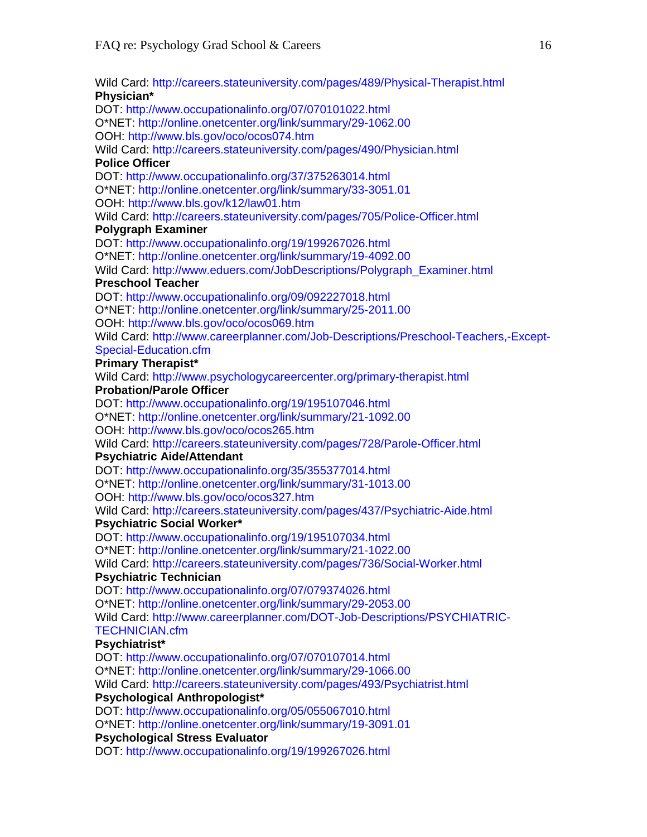Wild Card: http://careers.stateuniversity.com/pages/489/Physical-Therapist.html **Physician\***  DOT: http://www.occupationalinfo.org/07/070101022.html O\*NET: http://online.onetcenter.org/link/summary/29-1062.00 OOH: http://www.bls.gov/oco/ocos074.htm Wild Card: http://careers.stateuniversity.com/pages/490/Physician.html **Police Officer**  DOT: http://www.occupationalinfo.org/37/375263014.html O\*NET: http://online.onetcenter.org/link/summary/33-3051.01 OOH: http://www.bls.gov/k12/law01.htm Wild Card: http://careers.stateuniversity.com/pages/705/Police-Officer.html **Polygraph Examiner**  DOT: http://www.occupationalinfo.org/19/199267026.html O\*NET: http://online.onetcenter.org/link/summary/19-4092.00 Wild Card: http://www.eduers.com/JobDescriptions/Polygraph\_Examiner.html **Preschool Teacher**  DOT: http://www.occupationalinfo.org/09/092227018.html O\*NET: http://online.onetcenter.org/link/summary/25-2011.00 OOH: http://www.bls.gov/oco/ocos069.htm Wild Card: http://www.careerplanner.com/Job-Descriptions/Preschool-Teachers,-Except-Special-Education.cfm **Primary Therapist\***  Wild Card: http://www.psychologycareercenter.org/primary-therapist.html **Probation/Parole Officer**  DOT: http://www.occupationalinfo.org/19/195107046.html O\*NET: http://online.onetcenter.org/link/summary/21-1092.00 OOH: http://www.bls.gov/oco/ocos265.htm Wild Card: http://careers.stateuniversity.com/pages/728/Parole-Officer.html **Psychiatric Aide/Attendant**  DOT: http://www.occupationalinfo.org/35/355377014.html O\*NET: http://online.onetcenter.org/link/summary/31-1013.00 OOH: http://www.bls.gov/oco/ocos327.htm Wild Card: http://careers.stateuniversity.com/pages/437/Psychiatric-Aide.html **Psychiatric Social Worker\***  DOT: http://www.occupationalinfo.org/19/195107034.html O\*NET: http://online.onetcenter.org/link/summary/21-1022.00 Wild Card: http://careers.stateuniversity.com/pages/736/Social-Worker.html **Psychiatric Technician**  DOT: http://www.occupationalinfo.org/07/079374026.html O\*NET: http://online.onetcenter.org/link/summary/29-2053.00 Wild Card: http://www.careerplanner.com/DOT-Job-Descriptions/PSYCHIATRIC-TECHNICIAN.cfm **Psychiatrist\***  DOT: http://www.occupationalinfo.org/07/070107014.html O\*NET: http://online.onetcenter.org/link/summary/29-1066.00 Wild Card: http://careers.stateuniversity.com/pages/493/Psychiatrist.html **Psychological Anthropologist\***  DOT: http://www.occupationalinfo.org/05/055067010.html O\*NET: http://online.onetcenter.org/link/summary/19-3091.01 **Psychological Stress Evaluator**  DOT: http://www.occupationalinfo.org/19/199267026.html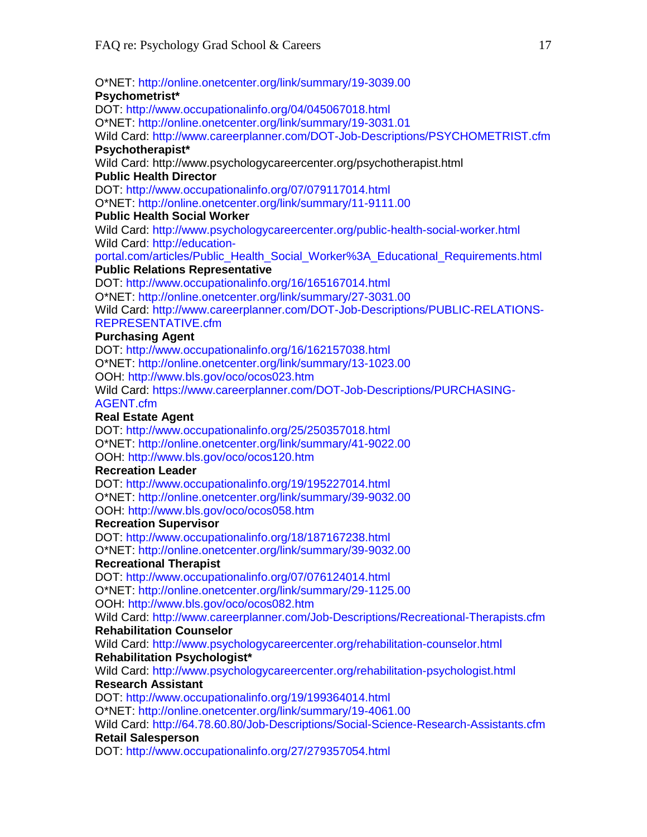O\*NET: http://online.onetcenter.org/link/summary/19-3039.00 **Psychometrist\***  DOT: http://www.occupationalinfo.org/04/045067018.html O\*NET: http://online.onetcenter.org/link/summary/19-3031.01 Wild Card: http://www.careerplanner.com/DOT-Job-Descriptions/PSYCHOMETRIST.cfm **Psychotherapist\***  Wild Card: http://www.psychologycareercenter.org/psychotherapist.html **Public Health Director**  DOT: http://www.occupationalinfo.org/07/079117014.html O\*NET: http://online.onetcenter.org/link/summary/11-9111.00 **Public Health Social Worker**  Wild Card: http://www.psychologycareercenter.org/public-health-social-worker.html Wild Card: http://educationportal.com/articles/Public\_Health\_Social\_Worker%3A\_Educational\_Requirements.html **Public Relations Representative**  DOT: http://www.occupationalinfo.org/16/165167014.html O\*NET: http://online.onetcenter.org/link/summary/27-3031.00 Wild Card: http://www.careerplanner.com/DOT-Job-Descriptions/PUBLIC-RELATIONS-REPRESENTATIVE.cfm **Purchasing Agent**  DOT: http://www.occupationalinfo.org/16/162157038.html O\*NET: http://online.onetcenter.org/link/summary/13-1023.00 OOH: http://www.bls.gov/oco/ocos023.htm Wild Card: https://www.careerplanner.com/DOT-Job-Descriptions/PURCHASING-AGENT.cfm **Real Estate Agent**  DOT: http://www.occupationalinfo.org/25/250357018.html O\*NET: http://online.onetcenter.org/link/summary/41-9022.00 OOH: http://www.bls.gov/oco/ocos120.htm **Recreation Leader**  DOT: http://www.occupationalinfo.org/19/195227014.html O\*NET: http://online.onetcenter.org/link/summary/39-9032.00 OOH: http://www.bls.gov/oco/ocos058.htm **Recreation Supervisor**  DOT: http://www.occupationalinfo.org/18/187167238.html O\*NET: http://online.onetcenter.org/link/summary/39-9032.00 **Recreational Therapist**  DOT: http://www.occupationalinfo.org/07/076124014.html O\*NET: http://online.onetcenter.org/link/summary/29-1125.00 OOH: http://www.bls.gov/oco/ocos082.htm Wild Card: http://www.careerplanner.com/Job-Descriptions/Recreational-Therapists.cfm **Rehabilitation Counselor**  Wild Card: http://www.psychologycareercenter.org/rehabilitation-counselor.html **Rehabilitation Psychologist\***  Wild Card: http://www.psychologycareercenter.org/rehabilitation-psychologist.html **Research Assistant**  DOT: http://www.occupationalinfo.org/19/199364014.html O\*NET: http://online.onetcenter.org/link/summary/19-4061.00 Wild Card: http://64.78.60.80/Job-Descriptions/Social-Science-Research-Assistants.cfm **Retail Salesperson** 

DOT: http://www.occupationalinfo.org/27/279357054.html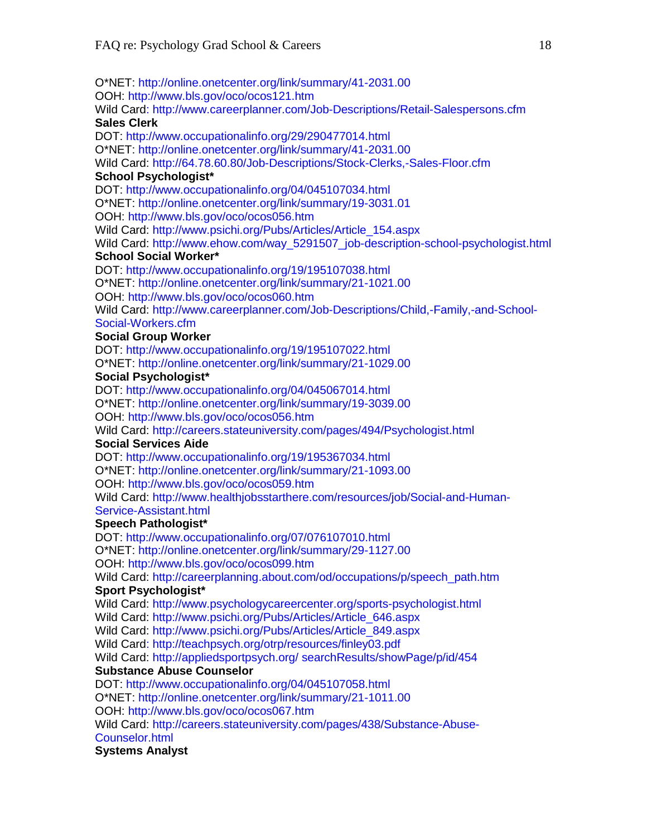O\*NET: http://online.onetcenter.org/link/summary/41-2031.00 OOH: http://www.bls.gov/oco/ocos121.htm Wild Card: http://www.careerplanner.com/Job-Descriptions/Retail-Salespersons.cfm **Sales Clerk**  DOT: http://www.occupationalinfo.org/29/290477014.html O\*NET: http://online.onetcenter.org/link/summary/41-2031.00 Wild Card: http://64.78.60.80/Job-Descriptions/Stock-Clerks,-Sales-Floor.cfm **School Psychologist\***  DOT: http://www.occupationalinfo.org/04/045107034.html O\*NET: http://online.onetcenter.org/link/summary/19-3031.01 OOH: http://www.bls.gov/oco/ocos056.htm Wild Card: http://www.psichi.org/Pubs/Articles/Article\_154.aspx Wild Card: http://www.ehow.com/way\_5291507\_job-description-school-psychologist.html **School Social Worker\***  DOT: http://www.occupationalinfo.org/19/195107038.html O\*NET: http://online.onetcenter.org/link/summary/21-1021.00 OOH: http://www.bls.gov/oco/ocos060.htm Wild Card: http://www.careerplanner.com/Job-Descriptions/Child,-Family,-and-School-Social-Workers.cfm **Social Group Worker**  DOT: http://www.occupationalinfo.org/19/195107022.html O\*NET: http://online.onetcenter.org/link/summary/21-1029.00 **Social Psychologist\***  DOT: http://www.occupationalinfo.org/04/045067014.html O\*NET: http://online.onetcenter.org/link/summary/19-3039.00 OOH: http://www.bls.gov/oco/ocos056.htm Wild Card: http://careers.stateuniversity.com/pages/494/Psychologist.html **Social Services Aide**  DOT: http://www.occupationalinfo.org/19/195367034.html O\*NET: http://online.onetcenter.org/link/summary/21-1093.00 OOH: http://www.bls.gov/oco/ocos059.htm Wild Card: http://www.healthjobsstarthere.com/resources/job/Social-and-Human-Service-Assistant.html **Speech Pathologist\***  DOT: http://www.occupationalinfo.org/07/076107010.html O\*NET: http://online.onetcenter.org/link/summary/29-1127.00 OOH: http://www.bls.gov/oco/ocos099.htm Wild Card: http://careerplanning.about.com/od/occupations/p/speech\_path.htm **Sport Psychologist\***  Wild Card: http://www.psychologycareercenter.org/sports-psychologist.html Wild Card: http://www.psichi.org/Pubs/Articles/Article\_646.aspx Wild Card: http://www.psichi.org/Pubs/Articles/Article\_849.aspx Wild Card: http://teachpsych.org/otrp/resources/finley03.pdf Wild Card: http://appliedsportpsych.org/ searchResults/showPage/p/id/454 **Substance Abuse Counselor**  DOT: http://www.occupationalinfo.org/04/045107058.html O\*NET: http://online.onetcenter.org/link/summary/21-1011.00 OOH: http://www.bls.gov/oco/ocos067.htm Wild Card: http://careers.stateuniversity.com/pages/438/Substance-Abuse-

#### Counselor.html

**Systems Analyst**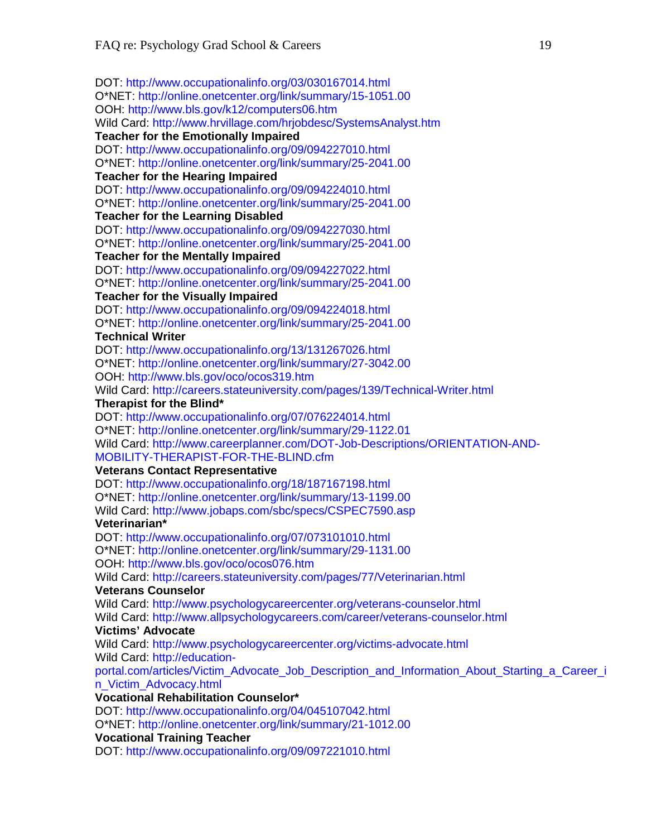DOT: http://www.occupationalinfo.org/03/030167014.html O\*NET: http://online.onetcenter.org/link/summary/15-1051.00 OOH: http://www.bls.gov/k12/computers06.htm Wild Card: http://www.hrvillage.com/hrjobdesc/SystemsAnalyst.htm **Teacher for the Emotionally Impaired**  DOT: http://www.occupationalinfo.org/09/094227010.html O\*NET: http://online.onetcenter.org/link/summary/25-2041.00 **Teacher for the Hearing Impaired**  DOT: http://www.occupationalinfo.org/09/094224010.html O\*NET: http://online.onetcenter.org/link/summary/25-2041.00 **Teacher for the Learning Disabled**  DOT: http://www.occupationalinfo.org/09/094227030.html O\*NET: http://online.onetcenter.org/link/summary/25-2041.00 **Teacher for the Mentally Impaired**  DOT: http://www.occupationalinfo.org/09/094227022.html O\*NET: http://online.onetcenter.org/link/summary/25-2041.00 **Teacher for the Visually Impaired**  DOT: http://www.occupationalinfo.org/09/094224018.html O\*NET: http://online.onetcenter.org/link/summary/25-2041.00 **Technical Writer**  DOT: http://www.occupationalinfo.org/13/131267026.html O\*NET: http://online.onetcenter.org/link/summary/27-3042.00 OOH: http://www.bls.gov/oco/ocos319.htm Wild Card: http://careers.stateuniversity.com/pages/139/Technical-Writer.html **Therapist for the Blind\***  DOT: http://www.occupationalinfo.org/07/076224014.html O\*NET: http://online.onetcenter.org/link/summary/29-1122.01 Wild Card: http://www.careerplanner.com/DOT-Job-Descriptions/ORIENTATION-AND-MOBILITY-THERAPIST-FOR-THE-BLIND.cfm **Veterans Contact Representative**  DOT: http://www.occupationalinfo.org/18/187167198.html O\*NET: http://online.onetcenter.org/link/summary/13-1199.00 Wild Card: http://www.jobaps.com/sbc/specs/CSPEC7590.asp **Veterinarian\***  DOT: http://www.occupationalinfo.org/07/073101010.html O\*NET: http://online.onetcenter.org/link/summary/29-1131.00 OOH: http://www.bls.gov/oco/ocos076.htm Wild Card: http://careers.stateuniversity.com/pages/77/Veterinarian.html **Veterans Counselor**  Wild Card: http://www.psychologycareercenter.org/veterans-counselor.html Wild Card: http://www.allpsychologycareers.com/career/veterans-counselor.html **Victims' Advocate**  Wild Card: http://www.psychologycareercenter.org/victims-advocate.html Wild Card: http://educationportal.com/articles/Victim\_Advocate\_Job\_Description\_and\_Information\_About\_Starting\_a\_Career\_i n\_Victim\_Advocacy.html **Vocational Rehabilitation Counselor\***  DOT: http://www.occupationalinfo.org/04/045107042.html O\*NET: http://online.onetcenter.org/link/summary/21-1012.00 **Vocational Training Teacher**  DOT: http://www.occupationalinfo.org/09/097221010.html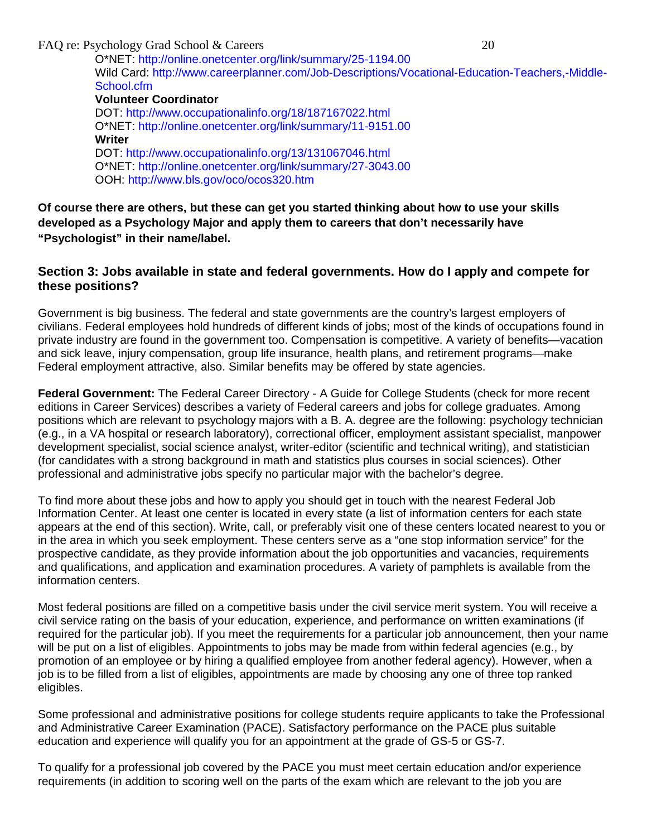FAQ re: Psychology Grad School & Careers 20 O\*NET: http://online.onetcenter.org/link/summary/25-1194.00 Wild Card: http://www.careerplanner.com/Job-Descriptions/Vocational-Education-Teachers,-Middle-School.cfm **Volunteer Coordinator**  DOT: http://www.occupationalinfo.org/18/187167022.html O\*NET: http://online.onetcenter.org/link/summary/11-9151.00 **Writer**  DOT: http://www.occupationalinfo.org/13/131067046.html O\*NET: http://online.onetcenter.org/link/summary/27-3043.00 OOH: http://www.bls.gov/oco/ocos320.htm

**Of course there are others, but these can get you started thinking about how to use your skills developed as a Psychology Major and apply them to careers that don't necessarily have "Psychologist" in their name/label.**

#### **Section 3: Jobs available in state and federal governments. How do I apply and compete for these positions?**

Government is big business. The federal and state governments are the country's largest employers of civilians. Federal employees hold hundreds of different kinds of jobs; most of the kinds of occupations found in private industry are found in the government too. Compensation is competitive. A variety of benefits—vacation and sick leave, injury compensation, group life insurance, health plans, and retirement programs—make Federal employment attractive, also. Similar benefits may be offered by state agencies.

**Federal Government:** The Federal Career Directory - A Guide for College Students (check for more recent editions in Career Services) describes a variety of Federal careers and jobs for college graduates. Among positions which are relevant to psychology majors with a B. A. degree are the following: psychology technician (e.g., in a VA hospital or research laboratory), correctional officer, employment assistant specialist, manpower development specialist, social science analyst, writer-editor (scientific and technical writing), and statistician (for candidates with a strong background in math and statistics plus courses in social sciences). Other professional and administrative jobs specify no particular major with the bachelor's degree.

To find more about these jobs and how to apply you should get in touch with the nearest Federal Job Information Center. At least one center is located in every state (a list of information centers for each state appears at the end of this section). Write, call, or preferably visit one of these centers located nearest to you or in the area in which you seek employment. These centers serve as a "one stop information service" for the prospective candidate, as they provide information about the job opportunities and vacancies, requirements and qualifications, and application and examination procedures. A variety of pamphlets is available from the information centers.

Most federal positions are filled on a competitive basis under the civil service merit system. You will receive a civil service rating on the basis of your education, experience, and performance on written examinations (if required for the particular job). If you meet the requirements for a particular job announcement, then your name will be put on a list of eligibles. Appointments to jobs may be made from within federal agencies (e.g., by promotion of an employee or by hiring a qualified employee from another federal agency). However, when a job is to be filled from a list of eligibles, appointments are made by choosing any one of three top ranked eligibles.

Some professional and administrative positions for college students require applicants to take the Professional and Administrative Career Examination (PACE). Satisfactory performance on the PACE plus suitable education and experience will qualify you for an appointment at the grade of GS-5 or GS-7.

To qualify for a professional job covered by the PACE you must meet certain education and/or experience requirements (in addition to scoring well on the parts of the exam which are relevant to the job you are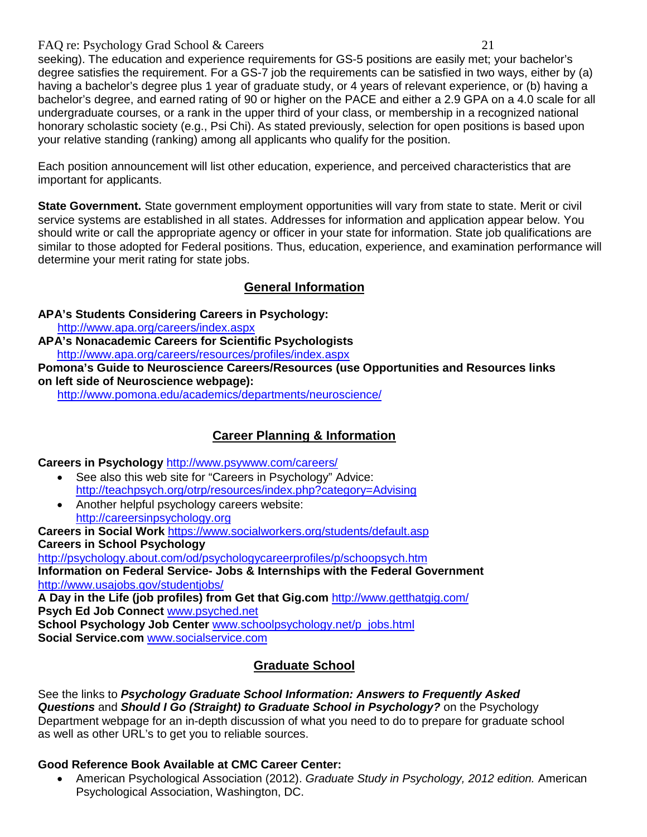seeking). The education and experience requirements for GS-5 positions are easily met; your bachelor's degree satisfies the requirement. For a GS-7 job the requirements can be satisfied in two ways, either by (a) having a bachelor's degree plus 1 year of graduate study, or 4 years of relevant experience, or (b) having a bachelor's degree, and earned rating of 90 or higher on the PACE and either a 2.9 GPA on a 4.0 scale for all undergraduate courses, or a rank in the upper third of your class, or membership in a recognized national honorary scholastic society (e.g., Psi Chi). As stated previously, selection for open positions is based upon your relative standing (ranking) among all applicants who qualify for the position.

Each position announcement will list other education, experience, and perceived characteristics that are important for applicants.

**State Government.** State government employment opportunities will vary from state to state. Merit or civil service systems are established in all states. Addresses for information and application appear below. You should write or call the appropriate agency or officer in your state for information. State job qualifications are similar to those adopted for Federal positions. Thus, education, experience, and examination performance will determine your merit rating for state jobs.

## **General Information**

**APA's Students Considering Careers in Psychology:** 

<http://www.apa.org/careers/index.aspx>

**APA's Nonacademic Careers for Scientific Psychologists** <http://www.apa.org/careers/resources/profiles/index.aspx>

**Pomona's Guide to Neuroscience Careers/Resources (use Opportunities and Resources links on left side of Neuroscience webpage):**

<http://www.pomona.edu/academics/departments/neuroscience/>

## **Career Planning & Information**

**Careers in Psychology** <http://www.psywww.com/careers/>

- See also this web site for "Careers in Psychology" Advice: <http://teachpsych.org/otrp/resources/index.php?category=Advising>
- Another helpful psychology careers website: [http://careersinpsychology.org](http://careersinpsychology.org/)

**Careers in Social Work** <https://www.socialworkers.org/students/default.asp> **Careers in School Psychology** <http://psychology.about.com/od/psychologycareerprofiles/p/schoopsych.htm>

**Information on Federal Service- Jobs & Internships with the Federal Government** <http://www.usajobs.gov/studentjobs/>

**A Day in the Life (job profiles) from Get that Gig.com** <http://www.getthatgig.com/> **Psych Ed Job Connect** [www.psyched.net](http://www.psyched.net/) **School Psychology Job Center** [www.schoolpsychology.net/p\\_jobs.html](http://www.schoolpsychology.net/p_jobs.html) **Social Service.com** [www.socialservice.com](http://www.socialservice.com/)

## **Graduate School**

See the links to *Psychology Graduate School Information: Answers to Frequently Asked Questions* and *Should I Go (Straight) to Graduate School in Psychology?* on the Psychology Department webpage for an in-depth discussion of what you need to do to prepare for graduate school as well as other URL's to get you to reliable sources.

### **Good Reference Book Available at CMC Career Center:**

• American Psychological Association (2012). *Graduate Study in Psychology, 2012 edition.* American Psychological Association, Washington, DC.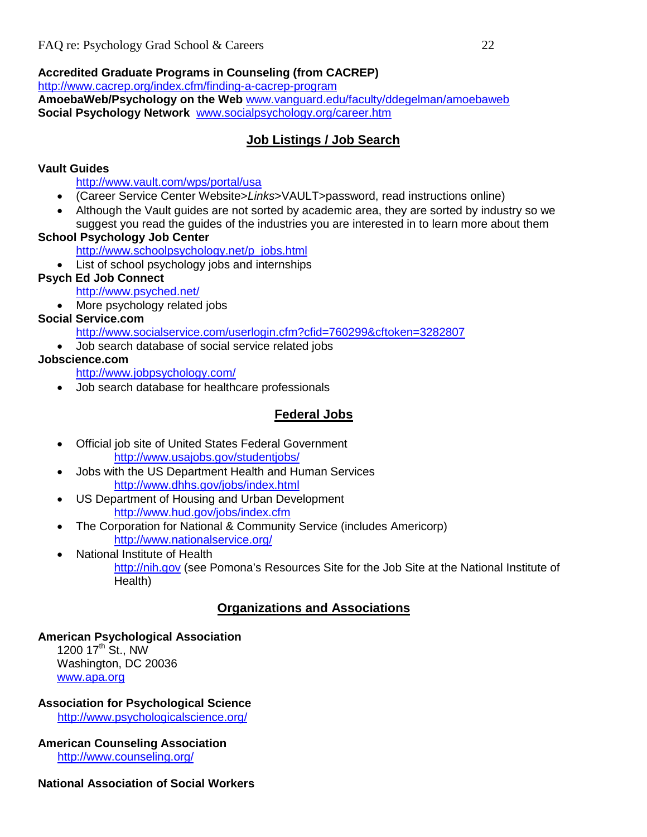## **Accredited Graduate Programs in Counseling (from CACREP)**

<http://www.cacrep.org/index.cfm/finding-a-cacrep-program>

**AmoebaWeb/Psychology on the Web** [www.vanguard.edu/faculty/ddegelman/amoebaweb](http://www.vanguard.edu/faculty/ddegelman/amoebaweb) **Social Psychology Network** [www.socialpsychology.org/career.htm](http://www.socialpsychology.org/career.htm)

## **Job Listings / Job Search**

## **Vault Guides**

<http://www.vault.com/wps/portal/usa>

- (Career Service Center Website>*Links*>VAULT>password, read instructions online)
- Although the Vault guides are not sorted by academic area, they are sorted by industry so we suggest you read the guides of the industries you are interested in to learn more about them

## **School Psychology Job Center**

[http://www.schoolpsychology.net/p\\_jobs.html](http://www.schoolpsychology.net/p_jobs.html) 

• List of school psychology jobs and internships

## **Psych Ed Job Connect**

<http://www.psyched.net/>

• More psychology related jobs

## **Social Service.com**

<http://www.socialservice.com/userlogin.cfm?cfid=760299&cftoken=3282807>

• Job search database of social service related jobs

## **Jobscience.com**

<http://www.jobpsychology.com/>

• Job search database for healthcare professionals

## **Federal Jobs**

- Official job site of United States Federal Government <http://www.usajobs.gov/studentjobs/>
- Jobs with the US Department Health and Human Services <http://www.dhhs.gov/jobs/index.html>
- US Department of Housing and Urban Development <http://www.hud.gov/jobs/index.cfm>
- The Corporation for National & Community Service (includes Americorp) <http://www.nationalservice.org/>
- National Institute of Health [http://nih.gov](http://nih.gov/) (see Pomona's Resources Site for the Job Site at the National Institute of Health)

## **Organizations and Associations**

## **American Psychological Association**

1200  $17^{th}$  St., NW Washington, DC 20036 [www.apa.org](http://www.apa.org/)

## **Association for Psychological Science**

<http://www.psychologicalscience.org/>

#### **American Counseling Association** <http://www.counseling.org/>

## **National Association of Social Workers**